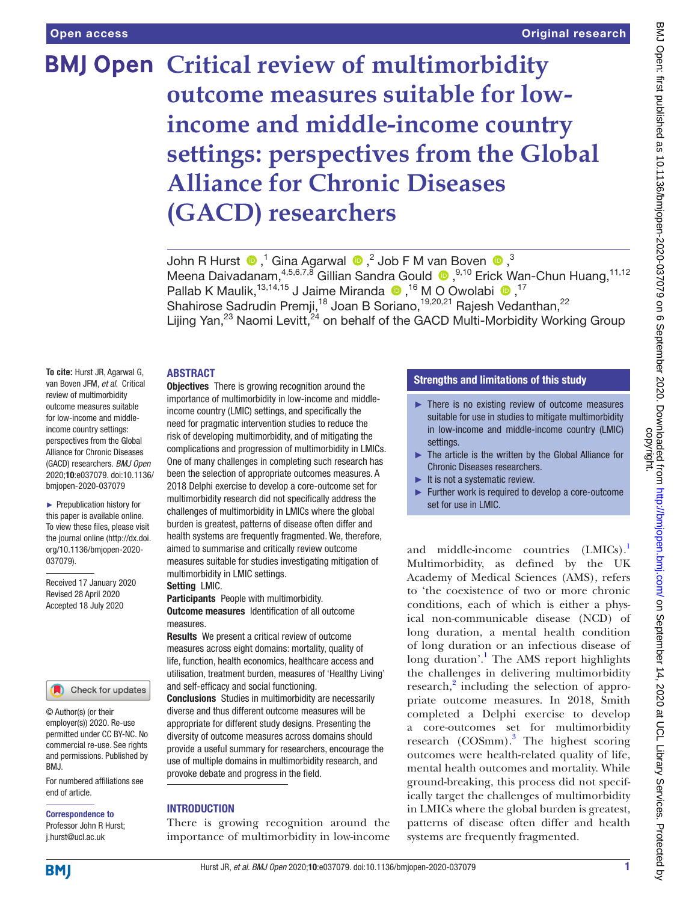# **BMJ Open Critical review of multimorbidity outcome measures suitable for lowincome and middle-income country settings: perspectives from the Global Alliance for Chronic Diseases (GACD) researchers**

JohnR Hurst  $\bigcirc$  ,<sup>1</sup> Gina Agarwal  $\bigcirc$  ,<sup>2</sup> Job F M van Boven  $\bigcirc$  ,<sup>3</sup> MeenaDaivadanam, <sup>4,5,6,7,8</sup> Gillian Sandra Gould <sup>19</sup>, <sup>9,10</sup> Erick Wan-Chun Huang, <sup>11,12</sup> Pallab K Maulik,<sup>13,14,15</sup> J Jaime Miranda  $\bullet$ ,<sup>16</sup> M O Owolabi  $\bullet$ ,<sup>17</sup> Shahirose Sadrudin Premji,<sup>18</sup> Joan B Soriano,<sup>19,20,21</sup> Rajesh Vedanthan,<sup>22</sup> Lijing Yan,<sup>23</sup> Naomi Levitt,<sup>24</sup> on behalf of the GACD Multi-Morbidity Working Group

#### ABSTRACT

**To cite:** Hurst JR, Agarwal G, van Boven JFM, *et al*. Critical review of multimorbidity outcome measures suitable for low-income and middleincome country settings: perspectives from the Global Alliance for Chronic Diseases (GACD) researchers. *BMJ Open* 2020;10:e037079. doi:10.1136/ bmjopen-2020-037079

► Prepublication history for this paper is available online. To view these files, please visit the journal online (http://dx.doi. org/10.1136/bmjopen-2020- 037079).

Received 17 January 2020 Revised 28 April 2020 Accepted 18 July 2020



© Author(s) (or their employer(s)) 2020. Re-use permitted under CC BY-NC. No commercial re-use. See rights and permissions. Published by BMJ.

For numbered affiliations see end of article.

Correspondence to Professor John R Hurst; j.hurst@ucl.ac.uk

**Objectives** There is growing recognition around the importance of multimorbidity in low-income and middleincome country (LMIC) settings, and specifically the need for pragmatic intervention studies to reduce the risk of developing multimorbidity, and of mitigating the complications and progression of multimorbidity in LMICs. One of many challenges in completing such research has been the selection of appropriate outcomes measures. A 2018 Delphi exercise to develop a core-outcome set for multimorbidity research did not specifically address the challenges of multimorbidity in LMICs where the global burden is greatest, patterns of disease often differ and health systems are frequently fragmented. We, therefore, aimed to summarise and critically review outcome measures suitable for studies investigating mitigation of multimorbidity in LMIC settings.

Setting LMIC.

Participants People with multimorbidity. Outcome measures Identification of all outcome measures.

Results We present a critical review of outcome measures across eight domains: mortality, quality of life, function, health economics, healthcare access and utilisation, treatment burden, measures of 'Healthy Living' and self-efficacy and social functioning.

Conclusions Studies in multimorbidity are necessarily diverse and thus different outcome measures will be appropriate for different study designs. Presenting the diversity of outcome measures across domains should provide a useful summary for researchers, encourage the use of multiple domains in multimorbidity research, and provoke debate and progress in the field.

#### **INTRODUCTION**

There is growing recognition around the importance of multimorbidity in low-income

#### Strengths and limitations of this study

- ► There is no existing review of outcome measures suitable for use in studies to mitigate multimorbidity in low-income and middle-income country (LMIC) settings.
- ► The article is the written by the Global Alliance for Chronic Diseases researchers.
- $\blacktriangleright$  It is not a systematic review.
- ► Further work is required to develop a core-outcome set for use in LMIC.

and middle-income countries (LMICs).<sup>1</sup> Multimorbidity, as defined by the UK Academy of Medical Sciences (AMS), refers to 'the coexistence of two or more chronic conditions, each of which is either a physical non-communicable disease (NCD) of long duration, a mental health condition of long duration or an infectious disease of long duration'.<sup>[1](#page-7-0)</sup> The AMS report highlights the challenges in delivering multimorbidity research,<sup>[2](#page-7-1)</sup> including the selection of appropriate outcome measures. In 2018, Smith completed a Delphi exercise to develop a core-outcomes set for multimorbidity research (COSmm).<sup>[3](#page-7-2)</sup> The highest scoring outcomes were health-related quality of life, mental health outcomes and mortality. While ground-breaking, this process did not specifically target the challenges of multimorbidity in LMICs where the global burden is greatest, patterns of disease often differ and health systems are frequently fragmented.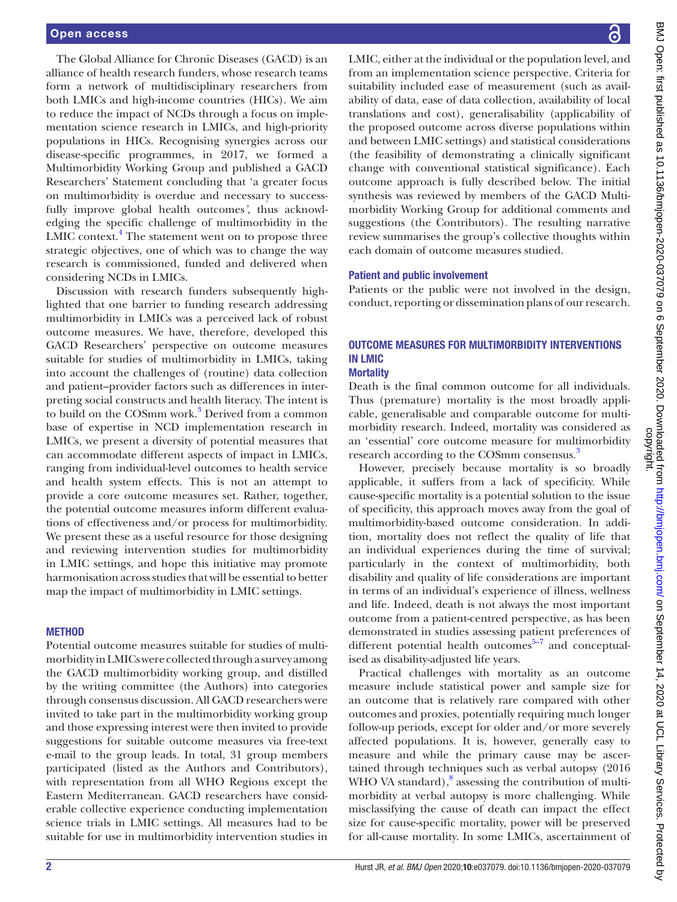The Global Alliance for Chronic Diseases (GACD) is an alliance of health research funders, whose research teams form a network of multidisciplinary researchers from both LMICs and high-income countries (HICs). We aim to reduce the impact of NCDs through a focus on implementation science research in LMICs, and high-priority populations in HICs. Recognising synergies across our disease-specific programmes, in 2017, we formed a Multimorbidity Working Group and published a GACD Researchers' Statement concluding that 'a greater focus on multimorbidity is overdue and necessary to successfully improve global health outcomes*'*, thus acknowledging the specific challenge of multimorbidity in the LMIC context.<sup>4</sup> The statement went on to propose three strategic objectives, one of which was to change the way research is commissioned, funded and delivered when considering NCDs in LMICs.

Discussion with research funders subsequently highlighted that one barrier to funding research addressing multimorbidity in LMICs was a perceived lack of robust outcome measures. We have, therefore, developed this GACD Researchers' perspective on outcome measures suitable for studies of multimorbidity in LMICs, taking into account the challenges of (routine) data collection and patient–provider factors such as differences in interpreting social constructs and health literacy. The intent is to build on the COSmm work.<sup>[3](#page-7-2)</sup> Derived from a common base of expertise in NCD implementation research in LMICs, we present a diversity of potential measures that can accommodate different aspects of impact in LMICs, ranging from individual-level outcomes to health service and health system effects. This is not an attempt to provide a core outcome measures set. Rather, together, the potential outcome measures inform different evaluations of effectiveness and/or process for multimorbidity. We present these as a useful resource for those designing and reviewing intervention studies for multimorbidity in LMIC settings, and hope this initiative may promote harmonisation across studies that will be essential to better map the impact of multimorbidity in LMIC settings.

#### **METHOD**

Potential outcome measures suitable for studies of multimorbidity in LMICs were collected through a survey among the GACD multimorbidity working group, and distilled by the writing committee (the Authors) into categories through consensus discussion. All GACD researchers were invited to take part in the multimorbidity working group and those expressing interest were then invited to provide suggestions for suitable outcome measures via free-text e-mail to the group leads. In total, 31 group members participated (listed as the Authors and Contributors), with representation from all WHO Regions except the Eastern Mediterranean. GACD researchers have considerable collective experience conducting implementation science trials in LMIC settings. All measures had to be suitable for use in multimorbidity intervention studies in

LMIC, either at the individual or the population level, and from an implementation science perspective. Criteria for suitability included ease of measurement (such as availability of data, ease of data collection, availability of local translations and cost), generalisability (applicability of the proposed outcome across diverse populations within and between LMIC settings) and statistical considerations (the feasibility of demonstrating a clinically significant change with conventional statistical significance). Each outcome approach is fully described below. The initial synthesis was reviewed by members of the GACD Multimorbidity Working Group for additional comments and suggestions (the Contributors). The resulting narrative review summarises the group's collective thoughts within each domain of outcome measures studied.

#### Patient and public involvement

Patients or the public were not involved in the design, conduct, reporting or dissemination plans of our research.

# OUTCOME MEASURES FOR MULTIMORBIDITY INTERVENTIONS IN LMIC

#### **Mortality**

Death is the final common outcome for all individuals. Thus (premature) mortality is the most broadly applicable, generalisable and comparable outcome for multimorbidity research. Indeed, mortality was considered as an 'essential' core outcome measure for multimorbidity research according to the COSmm consensus.<sup>3</sup>

However, precisely because mortality is so broadly applicable, it suffers from a lack of specificity. While cause-specific mortality is a potential solution to the issue of specificity, this approach moves away from the goal of multimorbidity-based outcome consideration. In addition, mortality does not reflect the quality of life that an individual experiences during the time of survival; particularly in the context of multimorbidity, both disability and quality of life considerations are important in terms of an individual's experience of illness, wellness and life. Indeed, death is not always the most important outcome from a patient-centred perspective, as has been demonstrated in studies assessing patient preferences of different potential health outcomes $5-7$  and conceptualised as disability-adjusted life years.

Practical challenges with mortality as an outcome measure include statistical power and sample size for an outcome that is relatively rare compared with other outcomes and proxies, potentially requiring much longer follow-up periods, except for older and/or more severely affected populations. It is, however, generally easy to measure and while the primary cause may be ascertained through techniques such as verbal autopsy (2016 WHO VA standard),<sup>[8](#page-7-5)</sup> assessing the contribution of multimorbidity at verbal autopsy is more challenging. While misclassifying the cause of death can impact the effect size for cause-specific mortality, power will be preserved for all-cause mortality. In some LMICs, ascertainment of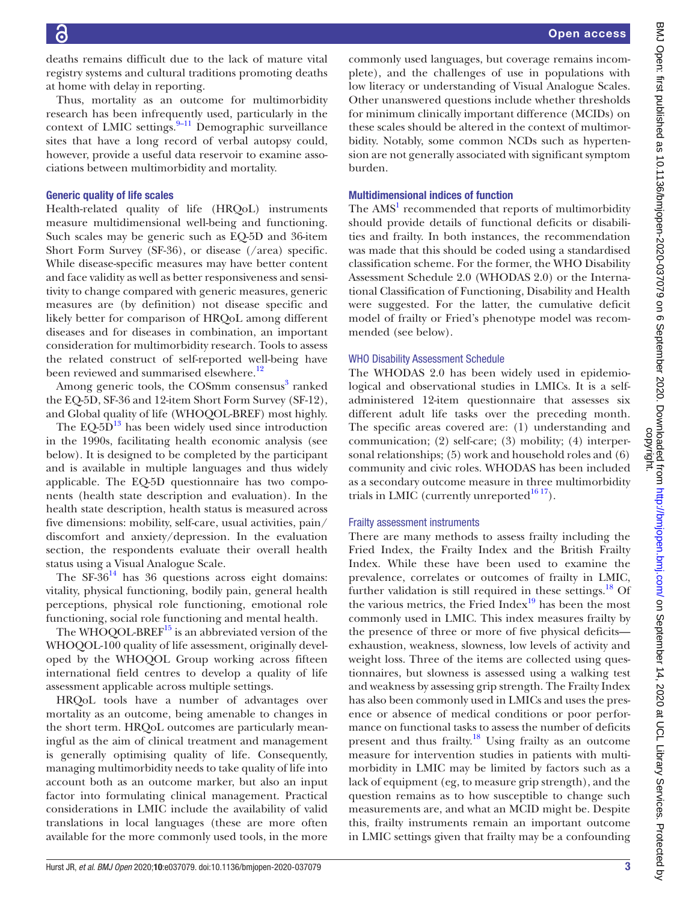deaths remains difficult due to the lack of mature vital registry systems and cultural traditions promoting deaths at home with delay in reporting.

Thus, mortality as an outcome for multimorbidity research has been infrequently used, particularly in the context of LMIC settings. $9-11$  Demographic surveillance sites that have a long record of verbal autopsy could, however, provide a useful data reservoir to examine associations between multimorbidity and mortality.

#### Generic quality of life scales

Health-related quality of life (HRQoL) instruments measure multidimensional well-being and functioning. Such scales may be generic such as EQ-5D and 36-item Short Form Survey (SF-36), or disease (/area) specific. While disease-specific measures may have better content and face validity as well as better responsiveness and sensitivity to change compared with generic measures, generic measures are (by definition) not disease specific and likely better for comparison of HRQoL among different diseases and for diseases in combination, an important consideration for multimorbidity research. Tools to assess the related construct of self-reported well-being have been reviewed and summarised elsewhere.<sup>[12](#page-7-7)</sup>

Among generic tools, the COSmm consensus<sup>[3](#page-7-2)</sup> ranked the EQ-5D, SF-36 and 12-item Short Form Survey (SF-12), and Global quality of life (WHOQOL-BREF) most highly.

The  $EQ-5D<sup>13</sup>$  has been widely used since introduction in the 1990s, facilitating health economic analysis (see below). It is designed to be completed by the participant and is available in multiple languages and thus widely applicable. The EQ-5D questionnaire has two components (health state description and evaluation). In the health state description, health status is measured across five dimensions: mobility, self-care, usual activities, pain/ discomfort and anxiety/depression. In the evaluation section, the respondents evaluate their overall health status using a Visual Analogue Scale.

The  $SF-36^{14}$  has 36 questions across eight domains: vitality, physical functioning, bodily pain, general health perceptions, physical role functioning, emotional role functioning, social role functioning and mental health.

The WHOQOL-BREF $15$  is an abbreviated version of the WHOQOL-100 quality of life assessment, originally developed by the WHOQOL Group working across fifteen international field centres to develop a quality of life assessment applicable across multiple settings.

HRQoL tools have a number of advantages over mortality as an outcome, being amenable to changes in the short term. HRQoL outcomes are particularly meaningful as the aim of clinical treatment and management is generally optimising quality of life. Consequently, managing multimorbidity needs to take quality of life into account both as an outcome marker, but also an input factor into formulating clinical management. Practical considerations in LMIC include the availability of valid translations in local languages (these are more often available for the more commonly used tools, in the more

commonly used languages, but coverage remains incomplete), and the challenges of use in populations with low literacy or understanding of Visual Analogue Scales. Other unanswered questions include whether thresholds for minimum clinically important difference (MCIDs) on these scales should be altered in the context of multimorbidity. Notably, some common NCDs such as hypertension are not generally associated with significant symptom burden.

#### Multidimensional indices of function

The AMS<sup>1</sup> recommended that reports of multimorbidity should provide details of functional deficits or disabilities and frailty. In both instances, the recommendation was made that this should be coded using a standardised classification scheme. For the former, the WHO Disability Assessment Schedule 2.0 (WHODAS 2.0) or the International Classification of Functioning, Disability and Health were suggested. For the latter, the cumulative deficit model of frailty or Fried's phenotype model was recommended (see below).

#### WHO Disability Assessment Schedule

The WHODAS 2.0 has been widely used in epidemiological and observational studies in LMICs. It is a selfadministered 12-item questionnaire that assesses six different adult life tasks over the preceding month. The specific areas covered are: (1) understanding and communication; (2) self-care; (3) mobility; (4) interpersonal relationships; (5) work and household roles and (6) community and civic roles. WHODAS has been included as a secondary outcome measure in three multimorbidity trials in LMIC (currently unreported $1617$ ).

#### Frailty assessment instruments

There are many methods to assess frailty including the Fried Index, the Frailty Index and the British Frailty Index. While these have been used to examine the prevalence, correlates or outcomes of frailty in LMIC, further validation is still required in these settings.<sup>18</sup> Of the various metrics, the Fried Index<sup>19</sup> has been the most commonly used in LMIC. This index measures frailty by the presence of three or more of five physical deficits exhaustion, weakness, slowness, low levels of activity and weight loss. Three of the items are collected using questionnaires, but slowness is assessed using a walking test and weakness by assessing grip strength. The Frailty Index has also been commonly used in LMICs and uses the presence or absence of medical conditions or poor performance on functional tasks to assess the number of deficits present and thus frailty.[18](#page-7-12) Using frailty as an outcome measure for intervention studies in patients with multimorbidity in LMIC may be limited by factors such as a lack of equipment (eg, to measure grip strength), and the question remains as to how susceptible to change such measurements are, and what an MCID might be. Despite this, frailty instruments remain an important outcome in LMIC settings given that frailty may be a confounding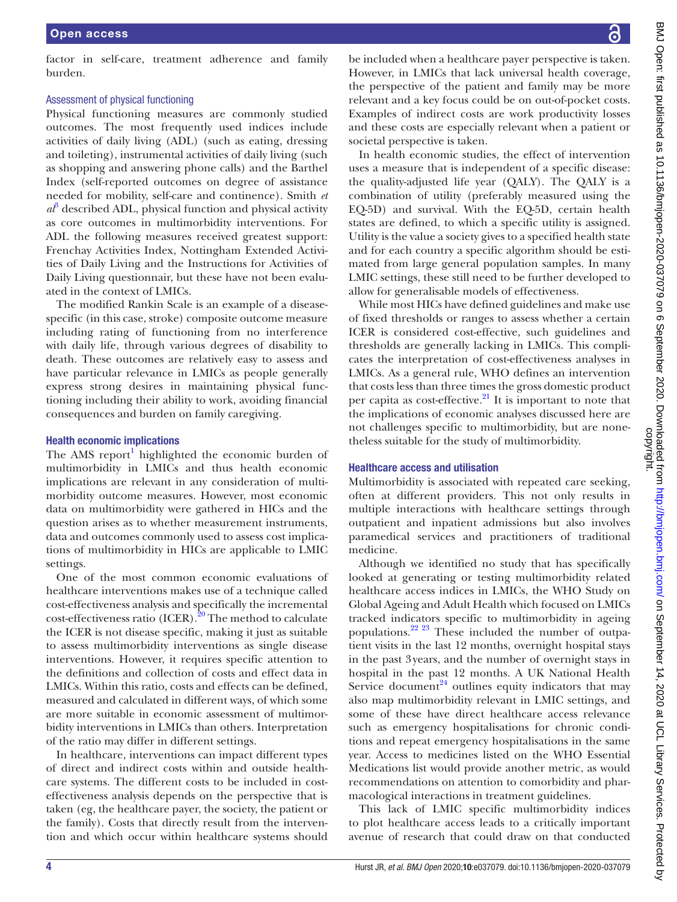factor in self-care, treatment adherence and family burden.

#### Assessment of physical functioning

Physical functioning measures are commonly studied outcomes. The most frequently used indices include activities of daily living (ADL) (such as eating, dressing and toileting), instrumental activities of daily living (such as shopping and answering phone calls) and the Barthel Index (self-reported outcomes on degree of assistance needed for mobility, self-care and continence). Smith *et*   $a<sup>\beta</sup>$  described ADL, physical function and physical activity as core outcomes in multimorbidity interventions. For ADL the following measures received greatest support: Frenchay Activities Index, Nottingham Extended Activities of Daily Living and the Instructions for Activities of Daily Living questionnair, but these have not been evaluated in the context of LMICs.

The modified Rankin Scale is an example of a diseasespecific (in this case, stroke) composite outcome measure including rating of functioning from no interference with daily life, through various degrees of disability to death. These outcomes are relatively easy to assess and have particular relevance in LMICs as people generally express strong desires in maintaining physical functioning including their ability to work, avoiding financial consequences and burden on family caregiving.

#### Health economic implications

The AMS report<sup>[1](#page-7-0)</sup> highlighted the economic burden of multimorbidity in LMICs and thus health economic implications are relevant in any consideration of multimorbidity outcome measures. However, most economic data on multimorbidity were gathered in HICs and the question arises as to whether measurement instruments, data and outcomes commonly used to assess cost implications of multimorbidity in HICs are applicable to LMIC settings.

One of the most common economic evaluations of healthcare interventions makes use of a technique called cost-effectiveness analysis and specifically the incremental cost-effectiveness ratio  $(ICER).^{20}$  The method to calculate the ICER is not disease specific, making it just as suitable to assess multimorbidity interventions as single disease interventions. However, it requires specific attention to the definitions and collection of costs and effect data in LMICs. Within this ratio, costs and effects can be defined, measured and calculated in different ways, of which some are more suitable in economic assessment of multimorbidity interventions in LMICs than others. Interpretation of the ratio may differ in different settings.

In healthcare, interventions can impact different types of direct and indirect costs within and outside healthcare systems. The different costs to be included in costeffectiveness analysis depends on the perspective that is taken (eg, the healthcare payer, the society, the patient or the family). Costs that directly result from the intervention and which occur within healthcare systems should

be included when a healthcare payer perspective is taken. However, in LMICs that lack universal health coverage, the perspective of the patient and family may be more relevant and a key focus could be on out-of-pocket costs. Examples of indirect costs are work productivity losses and these costs are especially relevant when a patient or societal perspective is taken.

In health economic studies, the effect of intervention uses a measure that is independent of a specific disease: the quality-adjusted life year (QALY). The QALY is a combination of utility (preferably measured using the EQ-5D) and survival. With the EQ-5D, certain health states are defined, to which a specific utility is assigned. Utility is the value a society gives to a specified health state and for each country a specific algorithm should be estimated from large general population samples. In many LMIC settings, these still need to be further developed to allow for generalisable models of effectiveness.

While most HICs have defined guidelines and make use of fixed thresholds or ranges to assess whether a certain ICER is considered cost-effective, such guidelines and thresholds are generally lacking in LMICs. This complicates the interpretation of cost-effectiveness analyses in LMICs. As a general rule, WHO defines an intervention that costs less than three times the gross domestic product per capita as cost-effective. $^{21}$  It is important to note that the implications of economic analyses discussed here are not challenges specific to multimorbidity, but are nonetheless suitable for the study of multimorbidity.

#### Healthcare access and utilisation

Multimorbidity is associated with repeated care seeking, often at different providers. This not only results in multiple interactions with healthcare settings through outpatient and inpatient admissions but also involves paramedical services and practitioners of traditional medicine.

Although we identified no study that has specifically looked at generating or testing multimorbidity related healthcare access indices in LMICs, the WHO Study on Global Ageing and Adult Health which focused on LMICs tracked indicators specific to multimorbidity in ageing populations.<sup>22</sup> <sup>23</sup> These included the number of outpatient visits in the last 12 months, overnight hospital stays in the past 3years, and the number of overnight stays in hospital in the past 12 months. A UK National Health Service document $24$  outlines equity indicators that may also map multimorbidity relevant in LMIC settings, and some of these have direct healthcare access relevance such as emergency hospitalisations for chronic conditions and repeat emergency hospitalisations in the same year. Access to medicines listed on the WHO Essential Medications list would provide another metric, as would recommendations on attention to comorbidity and pharmacological interactions in treatment guidelines.

This lack of LMIC specific multimorbidity indices to plot healthcare access leads to a critically important avenue of research that could draw on that conducted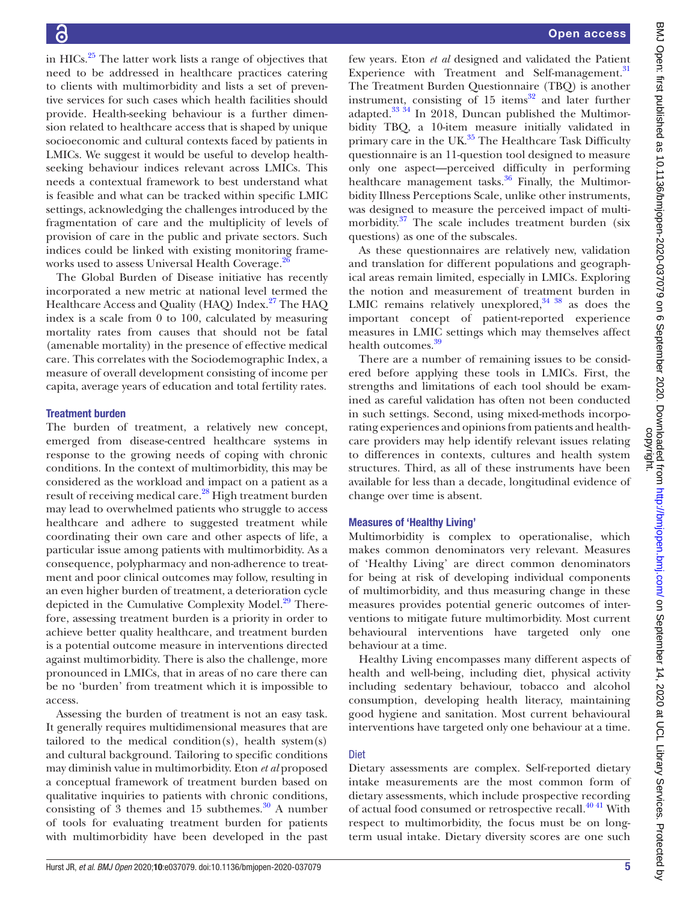in HICs. $^{25}$  The latter work lists a range of objectives that need to be addressed in healthcare practices catering to clients with multimorbidity and lists a set of preventive services for such cases which health facilities should provide. Health-seeking behaviour is a further dimension related to healthcare access that is shaped by unique socioeconomic and cultural contexts faced by patients in LMICs. We suggest it would be useful to develop healthseeking behaviour indices relevant across LMICs. This needs a contextual framework to best understand what is feasible and what can be tracked within specific LMIC settings, acknowledging the challenges introduced by the fragmentation of care and the multiplicity of levels of provision of care in the public and private sectors. Such indices could be linked with existing monitoring frameworks used to assess Universal Health Coverage.<sup>2</sup>

The Global Burden of Disease initiative has recently incorporated a new metric at national level termed the Healthcare Access and Quality (HAQ) Index.<sup>[27](#page-7-20)</sup> The HAQ index is a scale from 0 to 100, calculated by measuring mortality rates from causes that should not be fatal (amenable mortality) in the presence of effective medical care. This correlates with the Sociodemographic Index, a measure of overall development consisting of income per capita, average years of education and total fertility rates.

#### Treatment burden

The burden of treatment, a relatively new concept, emerged from disease-centred healthcare systems in response to the growing needs of coping with chronic conditions. In the context of multimorbidity, this may be considered as the workload and impact on a patient as a result of receiving medical care.<sup>28</sup> High treatment burden may lead to overwhelmed patients who struggle to access healthcare and adhere to suggested treatment while coordinating their own care and other aspects of life, a particular issue among patients with multimorbidity. As a consequence, polypharmacy and non-adherence to treatment and poor clinical outcomes may follow, resulting in an even higher burden of treatment, a deterioration cycle depicted in the Cumulative Complexity Model.<sup>29</sup> Therefore, assessing treatment burden is a priority in order to achieve better quality healthcare, and treatment burden is a potential outcome measure in interventions directed against multimorbidity. There is also the challenge, more pronounced in LMICs, that in areas of no care there can be no 'burden' from treatment which it is impossible to access.

Assessing the burden of treatment is not an easy task. It generally requires multidimensional measures that are tailored to the medical condition(s), health system(s) and cultural background. Tailoring to specific conditions may diminish value in multimorbidity. Eton *et al* proposed a conceptual framework of treatment burden based on qualitative inquiries to patients with chronic conditions, consisting of 3 themes and 15 subthemes. $30$  A number of tools for evaluating treatment burden for patients with multimorbidity have been developed in the past

few years. Eton *et al* designed and validated the Patient Experience with Treatment and Self-management.<sup>[31](#page-7-24)</sup> The Treatment Burden Questionnaire (TBQ) is another instrument, consisting of  $15$  items<sup>[32](#page-7-25)</sup> and later further adapted.[33 34](#page-7-26) In 2018, Duncan published the Multimorbidity TBQ, a 10-item measure initially validated in primary care in the UK.<sup>[35](#page-8-0)</sup> The Healthcare Task Difficulty questionnaire is an 11-question tool designed to measure only one aspect—perceived difficulty in performing healthcare management tasks. $36$  Finally, the Multimorbidity Illness Perceptions Scale, unlike other instruments, was designed to measure the perceived impact of multimorbidity. $37$  The scale includes treatment burden (six questions) as one of the subscales.

As these questionnaires are relatively new, validation and translation for different populations and geographical areas remain limited, especially in LMICs. Exploring the notion and measurement of treatment burden in LMIC remains relatively unexplored, $34 \frac{38}{18}$  as does the important concept of patient-reported experience measures in LMIC settings which may themselves affect health outcomes.<sup>[39](#page-8-3)</sup>

There are a number of remaining issues to be considered before applying these tools in LMICs. First, the strengths and limitations of each tool should be examined as careful validation has often not been conducted in such settings. Second, using mixed-methods incorporating experiences and opinions from patients and healthcare providers may help identify relevant issues relating to differences in contexts, cultures and health system structures. Third, as all of these instruments have been available for less than a decade, longitudinal evidence of change over time is absent.

#### Measures of 'Healthy Living'

Multimorbidity is complex to operationalise, which makes common denominators very relevant. Measures of 'Healthy Living' are direct common denominators for being at risk of developing individual components of multimorbidity, and thus measuring change in these measures provides potential generic outcomes of interventions to mitigate future multimorbidity. Most current behavioural interventions have targeted only one behaviour at a time.

Healthy Living encompasses many different aspects of health and well-being, including diet, physical activity including sedentary behaviour, tobacco and alcohol consumption, developing health literacy, maintaining good hygiene and sanitation. Most current behavioural interventions have targeted only one behaviour at a time.

## Diet

Dietary assessments are complex. Self-reported dietary intake measurements are the most common form of dietary assessments, which include prospective recording of actual food consumed or retrospective recall.<sup>40 41</sup> With respect to multimorbidity, the focus must be on longterm usual intake. Dietary diversity scores are one such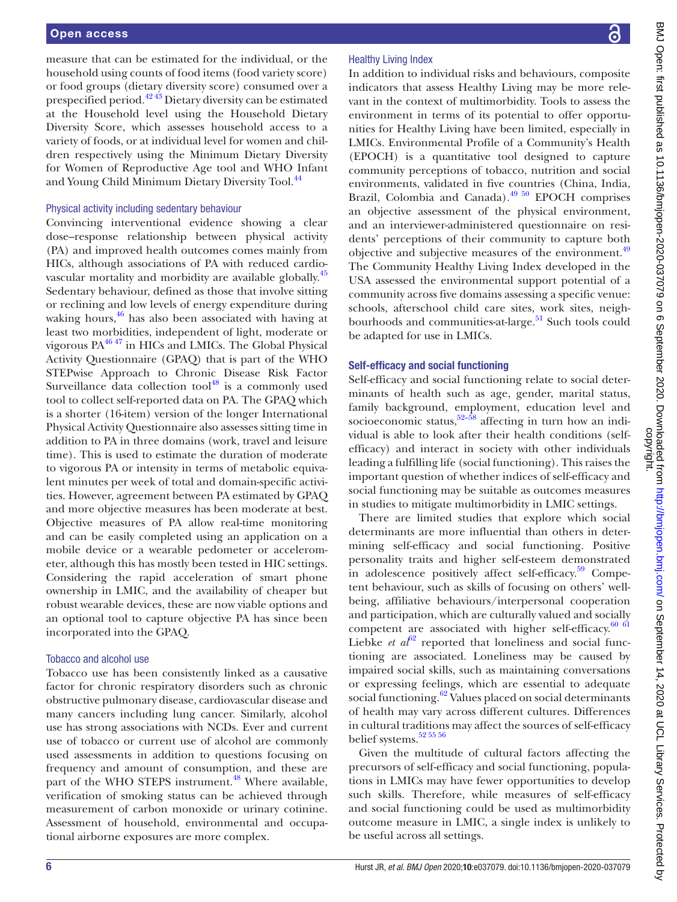measure that can be estimated for the individual, or the household using counts of food items (food variety score) or food groups (dietary diversity score) consumed over a prespecified period.[42 43](#page-8-5) Dietary diversity can be estimated at the Household level using the Household Dietary Diversity Score, which assesses household access to a variety of foods, or at individual level for women and children respectively using the Minimum Dietary Diversity for Women of Reproductive Age tool and WHO Infant and Young Child Minimum Dietary Diversity Tool.<sup>[44](#page-8-6)</sup>

#### Physical activity including sedentary behaviour

Convincing interventional evidence showing a clear dose–response relationship between physical activity (PA) and improved health outcomes comes mainly from HICs, although associations of PA with reduced cardio-vascular mortality and morbidity are available globally.<sup>[45](#page-8-7)</sup> Sedentary behaviour, defined as those that involve sitting or reclining and low levels of energy expenditure during waking hours, $46$  has also been associated with having at least two morbidities, independent of light, moderate or vigorous PA[46 47](#page-8-8) in HICs and LMICs. The Global Physical Activity Questionnaire (GPAQ) that is part of the WHO STEPwise Approach to Chronic Disease Risk Factor Surveillance data collection tool $48$  is a commonly used tool to collect self-reported data on PA. The GPAQ which is a shorter (16-item) version of the longer International Physical Activity Questionnaire also assesses sitting time in addition to PA in three domains (work, travel and leisure time). This is used to estimate the duration of moderate to vigorous PA or intensity in terms of metabolic equivalent minutes per week of total and domain-specific activities. However, agreement between PA estimated by GPAQ and more objective measures has been moderate at best. Objective measures of PA allow real-time monitoring and can be easily completed using an application on a mobile device or a wearable pedometer or accelerometer, although this has mostly been tested in HIC settings. Considering the rapid acceleration of smart phone ownership in LMIC, and the availability of cheaper but robust wearable devices, these are now viable options and an optional tool to capture objective PA has since been incorporated into the GPAQ.

#### Tobacco and alcohol use

Tobacco use has been consistently linked as a causative factor for chronic respiratory disorders such as chronic obstructive pulmonary disease, cardiovascular disease and many cancers including lung cancer. Similarly, alcohol use has strong associations with NCDs. Ever and current use of tobacco or current use of alcohol are commonly used assessments in addition to questions focusing on frequency and amount of consumption, and these are part of the WHO STEPS instrument.<sup>48</sup> Where available, verification of smoking status can be achieved through measurement of carbon monoxide or urinary cotinine. Assessment of household, environmental and occupational airborne exposures are more complex.

#### Healthy Living Index

In addition to individual risks and behaviours, composite indicators that assess Healthy Living may be more relevant in the context of multimorbidity. Tools to assess the environment in terms of its potential to offer opportunities for Healthy Living have been limited, especially in LMICs. Environmental Profile of a Community's Health (EPOCH) is a quantitative tool designed to capture community perceptions of tobacco, nutrition and social environments, validated in five countries (China, India, Brazil, Colombia and Canada). $49\,50$  EPOCH comprises an objective assessment of the physical environment, and an interviewer-administered questionnaire on residents' perceptions of their community to capture both objective and subjective measures of the environment.<sup>[49](#page-8-10)</sup> The Community Healthy Living Index developed in the USA assessed the environmental support potential of a community across five domains assessing a specific venue: schools, afterschool child care sites, work sites, neighbourhoods and communities-at-large. $51$  Such tools could be adapted for use in LMICs.

#### Self-efficacy and social functioning

Self-efficacy and social functioning relate to social determinants of health such as age, gender, marital status, family background, employment, education level and socioeconomic status,  $52-58$  affecting in turn how an individual is able to look after their health conditions (selfefficacy) and interact in society with other individuals leading a fulfilling life (social functioning). This raises the important question of whether indices of self-efficacy and social functioning may be suitable as outcomes measures in studies to mitigate multimorbidity in LMIC settings.

There are limited studies that explore which social determinants are more influential than others in determining self-efficacy and social functioning. Positive personality traits and higher self-esteem demonstrated in adolescence positively affect self-efficacy.<sup>59</sup> Competent behaviour, such as skills of focusing on others' wellbeing, affiliative behaviours/interpersonal cooperation and participation, which are culturally valued and socially competent are associated with higher self-efficacy.<sup>[60 61](#page-8-14)</sup> Liebke *et a* $\ell^2$  reported that loneliness and social functioning are associated. Loneliness may be caused by impaired social skills, such as maintaining conversations or expressing feelings, which are essential to adequate social functioning. $62$  Values placed on social determinants of health may vary across different cultures. Differences in cultural traditions may affect the sources of self-efficacy belief systems.<sup>52</sup> 55 56

Given the multitude of cultural factors affecting the precursors of self-efficacy and social functioning, populations in LMICs may have fewer opportunities to develop such skills. Therefore, while measures of self-efficacy and social functioning could be used as multimorbidity outcome measure in LMIC, a single index is unlikely to be useful across all settings.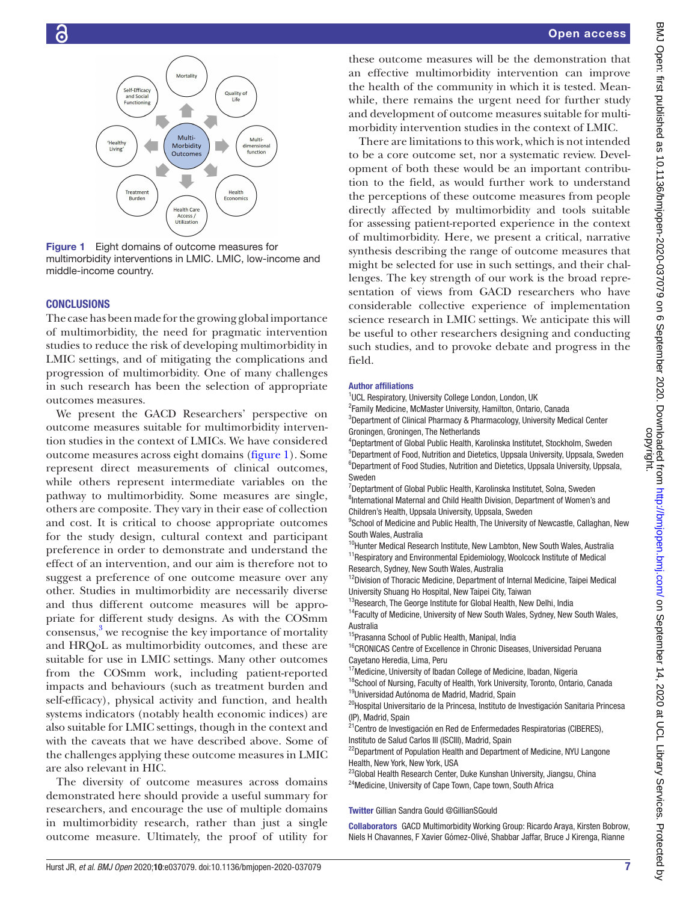

<span id="page-6-0"></span>Figure 1 Eight domains of outcome measures for multimorbidity interventions in LMIC. LMIC, low-income and middle-income country.

## **CONCLUSIONS**

The case has been made for the growing global importance of multimorbidity, the need for pragmatic intervention studies to reduce the risk of developing multimorbidity in LMIC settings, and of mitigating the complications and progression of multimorbidity. One of many challenges in such research has been the selection of appropriate outcomes measures.

We present the GACD Researchers' perspective on outcome measures suitable for multimorbidity intervention studies in the context of LMICs. We have considered outcome measures across eight domains [\(figure](#page-6-0) 1). Some represent direct measurements of clinical outcomes, while others represent intermediate variables on the pathway to multimorbidity. Some measures are single, others are composite. They vary in their ease of collection and cost. It is critical to choose appropriate outcomes for the study design, cultural context and participant preference in order to demonstrate and understand the effect of an intervention, and our aim is therefore not to suggest a preference of one outcome measure over any other. Studies in multimorbidity are necessarily diverse and thus different outcome measures will be appropriate for different study designs. As with the COSmm consensus, [3](#page-7-2) we recognise the key importance of mortality and HRQoL as multimorbidity outcomes, and these are suitable for use in LMIC settings. Many other outcomes from the COSmm work, including patient-reported impacts and behaviours (such as treatment burden and self-efficacy), physical activity and function, and health systems indicators (notably health economic indices) are also suitable for LMIC settings, though in the context and with the caveats that we have described above. Some of the challenges applying these outcome measures in LMIC are also relevant in HIC.

The diversity of outcome measures across domains demonstrated here should provide a useful summary for researchers, and encourage the use of multiple domains in multimorbidity research, rather than just a single outcome measure. Ultimately, the proof of utility for

these outcome measures will be the demonstration that an effective multimorbidity intervention can improve the health of the community in which it is tested. Meanwhile, there remains the urgent need for further study and development of outcome measures suitable for multimorbidity intervention studies in the context of LMIC.

There are limitations to this work, which is not intended to be a core outcome set, nor a systematic review. Development of both these would be an important contribution to the field, as would further work to understand the perceptions of these outcome measures from people directly affected by multimorbidity and tools suitable for assessing patient-reported experience in the context of multimorbidity. Here, we present a critical, narrative synthesis describing the range of outcome measures that might be selected for use in such settings, and their challenges. The key strength of our work is the broad representation of views from GACD researchers who have considerable collective experience of implementation science research in LMIC settings. We anticipate this will be useful to other researchers designing and conducting such studies, and to provoke debate and progress in the field.

#### Author affiliations

<sup>1</sup>UCL Respiratory, University College London, London, UK

2 Family Medicine, McMaster University, Hamilton, Ontario, Canada

<sup>3</sup>Department of Clinical Pharmacy & Pharmacology, University Medical Center Groningen, Groningen, The Netherlands

4 Deptartment of Global Public Health, Karolinska Institutet, Stockholm, Sweden <sup>5</sup>Department of Food, Nutrition and Dietetics, Uppsala University, Uppsala, Sweden <sup>6</sup>Department of Food Studies, Nutrition and Dietetics, Uppsala University, Uppsala, Sweden

<sup>7</sup>Deptartment of Global Public Health, Karolinska Institutet, Solna, Sweden <sup>8</sup>International Maternal and Child Health Division, Department of Women's and Children's Health, Uppsala University, Uppsala, Sweden

<sup>9</sup>School of Medicine and Public Health, The University of Newcastle, Callaghan, New South Wales, Australia

 $^{10}$ Hunter Medical Research Institute, New Lambton, New South Wales, Australia <sup>11</sup> Respiratory and Environmental Epidemiology, Woolcock Institute of Medical Research, Sydney, New South Wales, Australia

<sup>12</sup>Division of Thoracic Medicine, Department of Internal Medicine, Taipei Medical University Shuang Ho Hospital, New Taipei City, Taiwan

<sup>13</sup>Research, The George Institute for Global Health, New Delhi, India

<sup>14</sup>Faculty of Medicine, University of New South Wales, Sydney, New South Wales, Australia

<sup>15</sup>Prasanna School of Public Health, Manipal, India

<sup>16</sup>CRONICAS Centre of Excellence in Chronic Diseases, Universidad Peruana Cayetano Heredia, Lima, Peru

<sup>17</sup> Medicine, University of Ibadan College of Medicine, Ibadan, Nigeria

<sup>18</sup>School of Nursing, Faculty of Health, York University, Toronto, Ontario, Canada

19Universidad Autónoma de Madrid, Madrid, Spain

<sup>20</sup>Hospital Universitario de la Princesa, Instituto de Investigación Sanitaria Princesa (IP), Madrid, Spain

<sup>21</sup>Centro de Investigación en Red de Enfermedades Respiratorias (CIBERES), Instituto de Salud Carlos III (ISCIII), Madrid, Spain

<sup>22</sup>Department of Population Health and Department of Medicine, NYU Langone Health, New York, New York, USA

<sup>23</sup>Global Health Research Center, Duke Kunshan University, Jiangsu, China <sup>24</sup>Medicine, University of Cape Town, Cape town, South Africa

#### Twitter Gillian Sandra Gould [@GillianSGould](https://twitter.com/GillianSGould)

Collaborators GACD Multimorbidity Working Group: Ricardo Araya, Kirsten Bobrow, Niels H Chavannes, F Xavier Gómez-Olivé, Shabbar Jaffar, Bruce J Kirenga, Rianne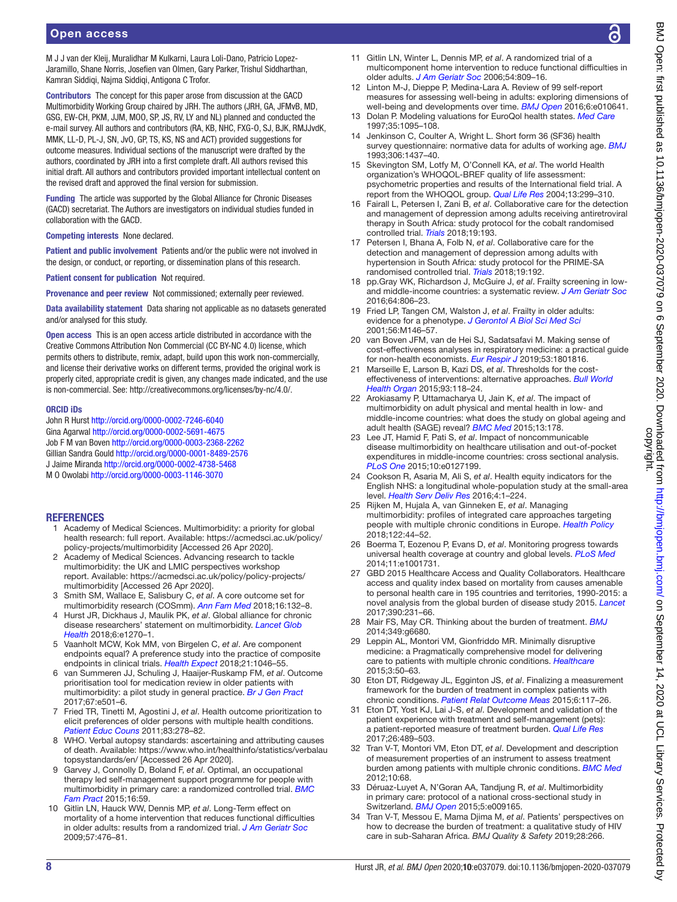M J J van der Kleij, Muralidhar M Kulkarni, Laura Loli-Dano, Patricio Lopez-Jaramillo, Shane Norris, Josefien van Olmen, Gary Parker, Trishul Siddharthan, Kamran Siddiqi, Najma Siddiqi, Antigona C Trofor.

Contributors The concept for this paper arose from discussion at the GACD Multimorbidity Working Group chaired by JRH. The authors (JRH, GA, JFMvB, MD, GSG, EW-CH, PKM, JJM, MOO, SP, JS, RV, LY and NL) planned and conducted the e-mail survey. All authors and contributors (RA, KB, NHC, FXG-O, SJ, BJK, RMJJvdK, MMK, LL-D, PL-J, SN, JvO, GP, TS, KS, NS and ACT) provided suggestions for outcome measures. Individual sections of the manuscript were drafted by the authors, coordinated by JRH into a first complete draft. All authors revised this initial draft. All authors and contributors provided important intellectual content on the revised draft and approved the final version for submission.

Funding The article was supported by the Global Alliance for Chronic Diseases (GACD) secretariat. The Authors are investigators on individual studies funded in collaboration with the GACD.

Competing interests None declared.

Patient and public involvement Patients and/or the public were not involved in the design, or conduct, or reporting, or dissemination plans of this research.

Patient consent for publication Not required.

Provenance and peer review Not commissioned; externally peer reviewed.

Data availability statement Data sharing not applicable as no datasets generated and/or analysed for this study.

Open access This is an open access article distributed in accordance with the Creative Commons Attribution Non Commercial (CC BY-NC 4.0) license, which permits others to distribute, remix, adapt, build upon this work non-commercially, and license their derivative works on different terms, provided the original work is properly cited, appropriate credit is given, any changes made indicated, and the use is non-commercial. See: [http://creativecommons.org/licenses/by-nc/4.0/.](http://creativecommons.org/licenses/by-nc/4.0/)

#### ORCID iDs

John R Hurst<http://orcid.org/0000-0002-7246-6040> Gina Agarwal <http://orcid.org/0000-0002-5691-4675> Job F M van Boven <http://orcid.org/0000-0003-2368-2262> Gillian Sandra Gould<http://orcid.org/0000-0001-8489-2576> J Jaime Miranda <http://orcid.org/0000-0002-4738-5468> M O Owolabi<http://orcid.org/0000-0003-1146-3070>

#### **REFERENCES**

- <span id="page-7-0"></span>1 Academy of Medical Sciences. Multimorbidity: a priority for global health research: full report. Available: [https://acmedsci.ac.uk/policy/](https://acmedsci.ac.uk/policy/policy-projects/multimorbidity) [policy-projects/multimorbidity](https://acmedsci.ac.uk/policy/policy-projects/multimorbidity) [Accessed 26 Apr 2020].
- <span id="page-7-1"></span>2 Academy of Medical Sciences. Advancing research to tackle multimorbidity: the UK and LMIC perspectives workshop report. Available: [https://acmedsci.ac.uk/policy/policy-projects/](https://acmedsci.ac.uk/policy/policy-projects/multimorbidity) [multimorbidity](https://acmedsci.ac.uk/policy/policy-projects/multimorbidity) [Accessed 26 Apr 2020].
- <span id="page-7-2"></span>3 Smith SM, Wallace E, Salisbury C, *et al*. A core outcome set for multimorbidity research (COSmm). *[Ann Fam Med](http://dx.doi.org/10.1370/afm.2178)* 2018;16:132–8.
- <span id="page-7-3"></span>4 Hurst JR, Dickhaus J, Maulik PK, *et al*. Global alliance for chronic disease researchers' statement on multimorbidity. *[Lancet Glob](http://dx.doi.org/10.1016/S2214-109X(18)30391-7)  [Health](http://dx.doi.org/10.1016/S2214-109X(18)30391-7)* 2018;6:e1270–1.
- <span id="page-7-4"></span>5 Vaanholt MCW, Kok MM, von Birgelen C, *et al*. Are component endpoints equal? A preference study into the practice of composite endpoints in clinical trials. *[Health Expect](http://dx.doi.org/10.1111/hex.12798)* 2018;21:1046–55.
- 6 van Summeren JJ, Schuling J, Haaijer-Ruskamp FM, *et al*. Outcome prioritisation tool for medication review in older patients with multimorbidity: a pilot study in general practice. *[Br J Gen Pract](http://dx.doi.org/10.3399/bjgp17X690485)* 2017;67:e501–6.
- 7 Fried TR, Tinetti M, Agostini J, *et al*. Health outcome prioritization to elicit preferences of older persons with multiple health conditions. *[Patient Educ Couns](http://dx.doi.org/10.1016/j.pec.2010.04.032)* 2011;83:278–82.
- <span id="page-7-5"></span>8 WHO. Verbal autopsy standards: ascertaining and attributing causes of death. Available: [https://www.who.int/healthinfo/statistics/verbalau](https://www.who.int/healthinfo/statistics/verbalautopsystandards/en/) [topsystandards/en/](https://www.who.int/healthinfo/statistics/verbalautopsystandards/en/) [Accessed 26 Apr 2020].
- <span id="page-7-6"></span>9 Garvey J, Connolly D, Boland F, *et al*. Optimal, an occupational therapy led self-management support programme for people with multimorbidity in primary care: a randomized controlled trial. *[BMC](http://dx.doi.org/10.1186/s12875-015-0267-0)  [Fam Pract](http://dx.doi.org/10.1186/s12875-015-0267-0)* 2015;16:59.
- 10 Gitlin LN, Hauck WW, Dennis MP, *et al*. Long-Term effect on mortality of a home intervention that reduces functional difficulties in older adults: results from a randomized trial. *[J Am Geriatr Soc](http://dx.doi.org/10.1111/j.1532-5415.2008.02147.x)* 2009;57:476–81.
- 11 Gitlin LN, Winter L, Dennis MP, *et al*. A randomized trial of a multicomponent home intervention to reduce functional difficulties in older adults. *[J Am Geriatr Soc](http://dx.doi.org/10.1111/j.1532-5415.2006.00703.x)* 2006;54:809–16.
- <span id="page-7-7"></span>12 Linton M-J, Dieppe P, Medina-Lara A. Review of 99 self-report measures for assessing well-being in adults: exploring dimensions of well-being and developments over time. *[BMJ Open](http://dx.doi.org/10.1136/bmjopen-2015-010641)* 2016;6:e010641.
- <span id="page-7-8"></span>13 Dolan P. Modeling valuations for EuroQol health states. *[Med Care](http://dx.doi.org/10.1097/00005650-199711000-00002)* 1997;35:1095–108.
- <span id="page-7-9"></span>14 Jenkinson C, Coulter A, Wright L. Short form 36 (SF36) health survey questionnaire: normative data for adults of working age. *[BMJ](http://dx.doi.org/10.1136/bmj.306.6890.1437)* 1993;306:1437–40.
- <span id="page-7-10"></span>15 Skevington SM, Lotfy M, O'Connell KA, *et al*. The world Health organization's WHOQOL-BREF quality of life assessment: psychometric properties and results of the International field trial. A report from the WHOQOL group. *[Qual Life Res](http://dx.doi.org/10.1023/B:QURE.0000018486.91360.00)* 2004;13:299–310.
- <span id="page-7-11"></span>16 Fairall L, Petersen I, Zani B, *et al*. Collaborative care for the detection and management of depression among adults receiving antiretroviral therapy in South Africa: study protocol for the cobalt randomised controlled trial. *[Trials](http://dx.doi.org/10.1186/s13063-018-2517-7)* 2018;19:193.
- 17 Petersen I, Bhana A, Folb N, *et al*. Collaborative care for the detection and management of depression among adults with hypertension in South Africa: study protocol for the PRIME-SA randomised controlled trial. *[Trials](http://dx.doi.org/10.1186/s13063-018-2518-6)* 2018;19:192.
- <span id="page-7-12"></span>18 pp.Gray WK, Richardson J, McGuire J, *et al*. Frailty screening in lowand middle-income countries: a systematic review. *[J Am Geriatr Soc](http://dx.doi.org/10.1111/jgs.14069)* 2016;64:806–23.
- <span id="page-7-13"></span>19 Fried LP, Tangen CM, Walston J, *et al*. Frailty in older adults: evidence for a phenotype. *[J Gerontol A Biol Sci Med Sci](http://dx.doi.org/10.1093/gerona/56.3.M146)* 2001;56:M146–57.
- <span id="page-7-14"></span>20 van Boven JFM, van de Hei SJ, Sadatsafavi M. Making sense of cost-effectiveness analyses in respiratory medicine: a practical guide for non-health economists. *[Eur Respir J](http://dx.doi.org/10.1183/13993003.01816-2018)* 2019;53:1801816.
- <span id="page-7-15"></span>21 Marseille E, Larson B, Kazi DS, *et al*. Thresholds for the costeffectiveness of interventions: alternative approaches. *[Bull World](http://dx.doi.org/10.2471/BLT.14.138206)  [Health Organ](http://dx.doi.org/10.2471/BLT.14.138206)* 2015;93:118–24.
- <span id="page-7-16"></span>22 Arokiasamy P, Uttamacharya U, Jain K, *et al*. The impact of multimorbidity on adult physical and mental health in low- and middle-income countries: what does the study on global ageing and adult health (SAGE) reveal? *[BMC Med](http://dx.doi.org/10.1186/s12916-015-0402-8)* 2015;13:178.
- 23 Lee JT, Hamid F, Pati S, *et al*. Impact of noncommunicable disease multimorbidity on healthcare utilisation and out-of-pocket expenditures in middle-income countries: cross sectional analysis. *[PLoS One](http://dx.doi.org/10.1371/journal.pone.0127199)* 2015;10:e0127199.
- <span id="page-7-17"></span>24 Cookson R, Asaria M, Ali S, *et al*. Health equity indicators for the English NHS: a longitudinal whole-population study at the small-area level. *[Health Serv Deliv Res](http://dx.doi.org/10.3310/hsdr04260)* 2016;4:1–224.
- <span id="page-7-18"></span>25 Rijken M, Hujala A, van Ginneken E, *et al*. Managing multimorbidity: profiles of integrated care approaches targeting people with multiple chronic conditions in Europe. *[Health Policy](http://dx.doi.org/10.1016/j.healthpol.2017.10.002)* 2018;122:44–52.
- <span id="page-7-19"></span>26 Boerma T, Eozenou P, Evans D, *et al*. Monitoring progress towards universal health coverage at country and global levels. *[PLoS Med](http://dx.doi.org/10.1371/journal.pmed.1001731)* 2014;11:e1001731.
- <span id="page-7-20"></span>27 GBD 2015 Healthcare Access and Quality Collaborators. Healthcare access and quality index based on mortality from causes amenable to personal health care in 195 countries and territories, 1990-2015: a novel analysis from the global burden of disease study 2015. *[Lancet](http://dx.doi.org/10.1016/S0140-6736(17)30818-8)* 2017;390:231–66.
- <span id="page-7-21"></span>28 Mair FS, May CR. Thinking about the burden of treatment. *[BMJ](http://dx.doi.org/10.1136/bmj.g6680)* 2014;349:g6680.
- <span id="page-7-22"></span>29 Leppin AL, Montori VM, Gionfriddo MR. Minimally disruptive medicine: a Pragmatically comprehensive model for delivering care to patients with multiple chronic conditions. *[Healthcare](http://dx.doi.org/10.3390/healthcare3010050)* 2015;3:50–63.
- <span id="page-7-23"></span>30 Eton DT, Ridgeway JL, Egginton JS, *et al*. Finalizing a measurement framework for the burden of treatment in complex patients with chronic conditions. *[Patient Relat Outcome Meas](http://dx.doi.org/10.2147/PROM.S78955)* 2015;6:117–26.
- <span id="page-7-24"></span>31 Eton DT, Yost KJ, Lai J-S, *et al*. Development and validation of the patient experience with treatment and self-management (pets): a patient-reported measure of treatment burden. *[Qual Life Res](http://dx.doi.org/10.1007/s11136-016-1397-0)* 2017;26:489–503.
- <span id="page-7-25"></span>32 Tran V-T, Montori VM, Eton DT, *et al*. Development and description of measurement properties of an instrument to assess treatment burden among patients with multiple chronic conditions. *[BMC Med](http://dx.doi.org/10.1186/1741-7015-10-68)* 2012;10:68.
- <span id="page-7-26"></span>33 Déruaz-Luyet A, N'Goran AA, Tandjung R, *et al*. Multimorbidity in primary care: protocol of a national cross-sectional study in Switzerland. *[BMJ Open](http://dx.doi.org/10.1136/bmjopen-2015-009165)* 2015;5:e009165.
- <span id="page-7-27"></span>34 Tran V-T, Messou E, Mama Djima M, *et al*. Patients' perspectives on how to decrease the burden of treatment: a qualitative study of HIV care in sub-Saharan Africa. *BMJ Quality & Safety* 2019;28:266.

ဥ